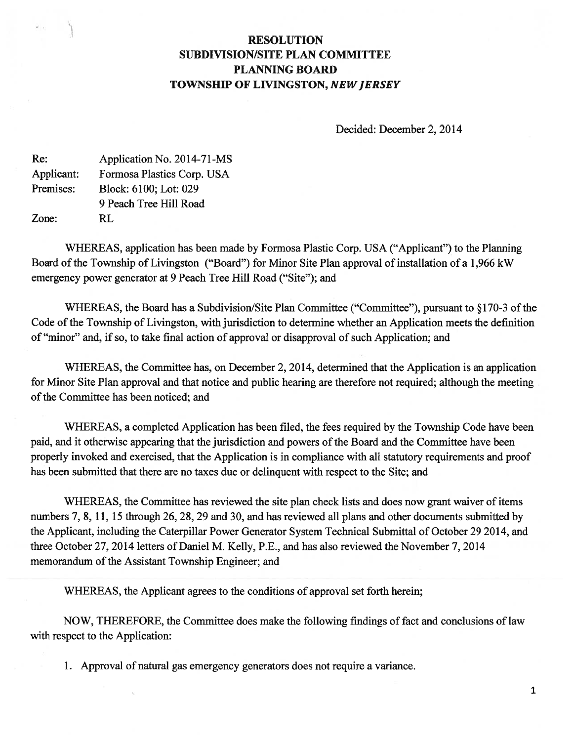# RESOLUTION SUBDIVISION/SITE PLAN COMMITTEE PLANNING BOARD TOWNSHIP OF LIVINGSTON, NEW JERSEY

Decided: December 2, 2014

| Re:        | Application No. 2014-71-MS |
|------------|----------------------------|
| Applicant: | Formosa Plastics Corp. USA |
| Premises:  | Block: 6100; Lot: 029      |
|            | 9 Peach Tree Hill Road     |
| Zone:      | RL.                        |

1L

WHEREAS, application has been made by Formosa Plastic Corp. USA ("Applicant") to the Planning Board of the Township of Livingston ("Board") for Minor Site Plan approval of installation of a 1,966 kW emergency power generator at 9 Peach Tree Hill Road ("Site"); and

WHEREAS, the Board has a Subdivision/Site Plan Committee ("Committee"), pursuant to  $§170-3$  of the Code of the Township of Livingston, with jurisdiction to determine whether an Application meets the definition of "minor" and, if so, to take final action of approval or disapproval of such Application; and

WHEREAS, the Committee has, on December 2, 2014, determined that the Application is an application for Minor Site Plan approval and that notice and public hearing are therefore not required; although the meeting of the Committee has been noticed; and

WHEREAS, <sup>a</sup> completed Application has been filed, the fees required by the Township Code have been paid, and it otherwise appearing that the jurisdiction and powers of the Board and the Committee have been properly invoked and exercised, that the Application is in compliance with all statutory requirements and proof has been submitted that there are no taxes due or delinquent with respec<sup>t</sup> to the Site; and

WHEREAS, the Committee has reviewed the site plan check lists and does now gran<sup>t</sup> waiver of items numbers 7, 8, 11, 15 through 26, 28, 29 and 30, and has reviewed all plans and other documents submitted by the Applicant, including the Caterpillar Power Generator System Technical Submittal of October 29 2014, and three October 27, 2014 letters of Daniel M. Kelly, P.E., and has also reviewed the November 7, 2014 memorandum of the Assistant Township Engineer; and

WHEREAS, the Applicant agrees to the conditions of approval set forth herein;

NOW, THEREFORE, the Committee does make the following findings of fact and conclusions of law with respec<sup>t</sup> to the Application:

1. Approval of natural gas emergency generators does not require <sup>a</sup> variance.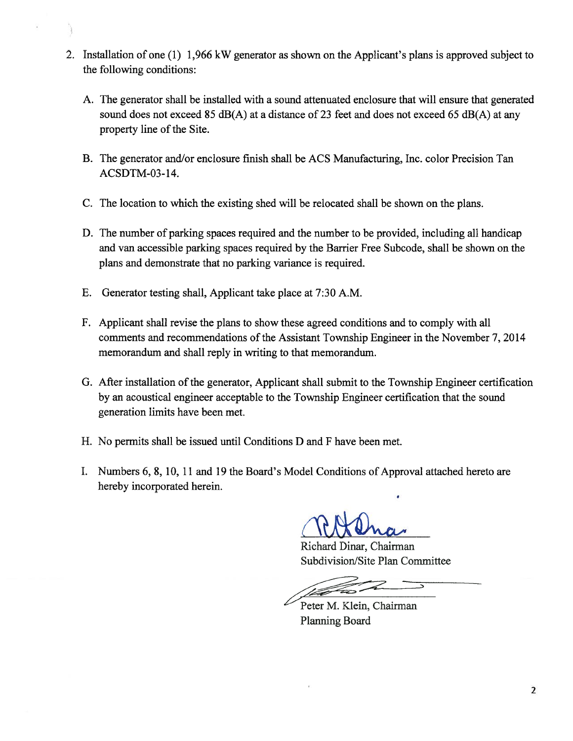- 2. Installation of one (1) 1,966 kW generator as shown on the Applicant's plans is approved subject to the following conditions:
	- A. The generator shall be installed with <sup>a</sup> sound attenuated enclosure that will ensure that generated sound does not exceed 85 dB(A) at a distance of 23 feet and does not exceed 65 dB(A) at any property line of the Site.
	- B. The generator and/or enclosure finish shall be ACS Manufacturing, Inc. color Precision Tan ACSDTM-03-14.
	- C. The location to which the existing shed will be relocated shall be shown on the plans.
	- D. The number of parking spaces required and the number to be provided, including all handicap and van accessible parking spaces required by the Barrier Free Subcode, shall be shown on the plans and demonstrate that no parking variance is required.
	- E. Generator testing shall, Applicant take place at 7:30 A.M.
	- F. Applicant shall revise the plans to show these agreed conditions and to comply with all comments and recommendations of the Assistant Township Engineer in the November 7, 2014 memorandum and shall reply in writing to that memorandum.
	- G. After installation of the generator, Applicant shall submit to the Township Engineer certification by an acoustical engineer acceptable to the Township Engineer certification that the sound generation limits have been met.
	- H. No permits shall be issued until Conditions D and F have been met.
	- I. Numbers 6, 8, 10, 11 and 19 the Board's Model Conditions of Approval attached hereto are hereby incorporated herein.

RADna

Richard Dinar, Chairman Subdivision/Site Plan Committee

Peter M. Klein, Chairman Planning Board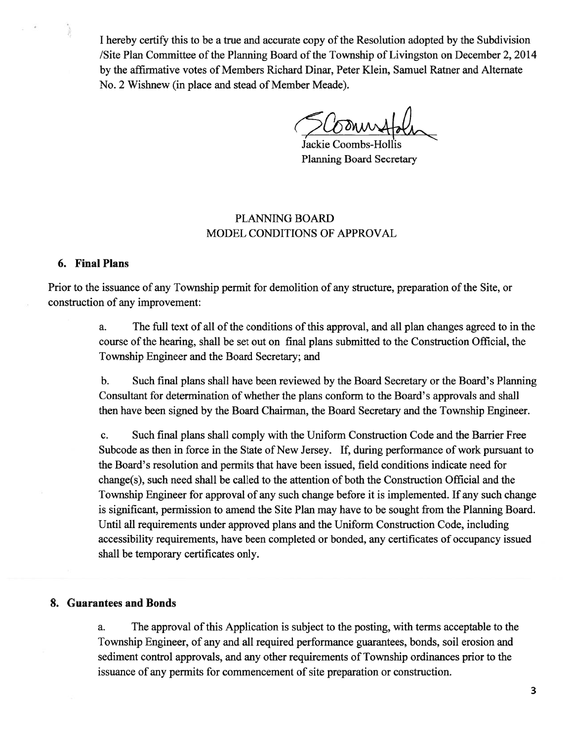I hereby certify this to be a true and accurate copy of the Resolution adopted by the Subdivision /Site Plan Committee of the Planning Board of the Township of Livingston on December 2, 2014 by the affirmative votes of Members Richard Dinar, Peter Klein, Samuel Ratner and Alternate No. 2 Wishnew (in place and stead of Member Meade).

Jackie Coombs-Hollis Planning Board Secretary

## PLANNING BOARD MODEL CONDITIONS OF APPROVAL

## 6. Final Plans

Prior to the issuance of any Township permit for demolition of any structure, preparation of the Site, or construction of any improvement:

> a. The full text of all of the conditions of this approval, and all plan changes agreed to in the course of the hearing, shall be set out on final plans submitted to the Construction Official, the Township Engineer and the Board Secretary; and

> b. Such final plans shall have been reviewed by the Board Secretary or the Board's Planning Consultant for determination of whether the plans conform to the Board's approvals and shall then have been signed by the Board Chairman, the Board Secretary and the Township Engineer.

> c. Such final plans shall comply with the Uniform Construction Code and the Barrier Free Subcode as then in force in the State of New Jersey. If, during performance of work pursuant to the Board's resolution and permits that have been issued, field conditions indicate need for change(s), such need shall be called to the attention of both the Construction Official and the Township Engineer for approval of any such change before it is implemented. If any such change is significant, permission to amend the Site Plan may have to be sought from the Planning Board. Until all requirements under approved plans and the Uniform Construction Code, including accessibility requirements, have been completed or bonded, any certificates of occupancy issued shall be temporary certificates only.

#### 8. Guarantees and Bonds

a. The approval of this Application is subject to the posting, with terms acceptable to the Township Engineer, of any and all required performance guarantees, bonds, soil erosion and sediment control approvals, and any other requirements of Township ordinances prior to the issuance of any permits for commencement of site preparation or construction.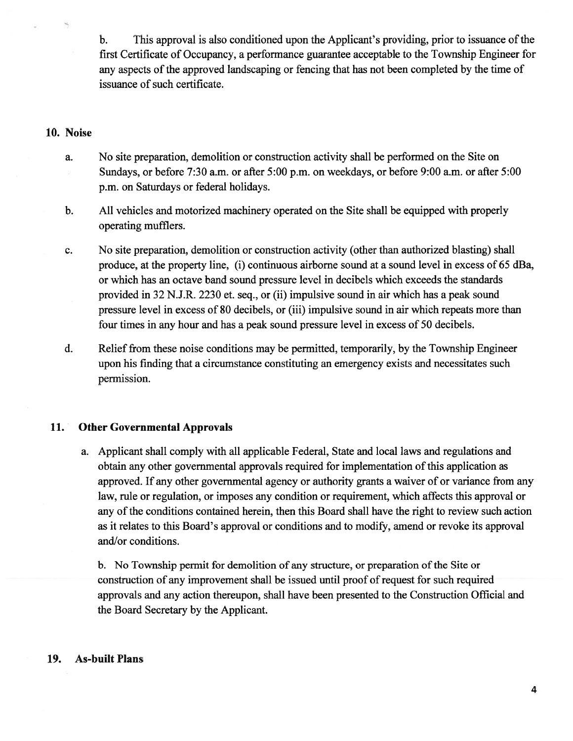b. This approval is also conditioned upon the Applicant's providing, prior to issuance of the first Certificate of Occupancy, <sup>a</sup> performance guarantee acceptable to the Township Engineer for any aspects of the approved landscaping or fencing that has not been completed by the time of issuance of such certificate.

#### 10. Noise

- a. No site preparation, demolition or construction activity shall be performed on the Site on Sundays, or before 7:30 a.m. or after 5:00 p.m. on weekdays, or before 9:00 a.m. or after 5:00 p.m. on Saturdays or federal holidays.
- b. All vehicles and motorized machinery operated on the Site shall be equipped with properly operating mufflers.
- c. No site preparation, demolition or construction activity (other than authorized blasting) shall produce, at the property line, (i) continuous airborne sound at <sup>a</sup> sound level in excess of 65 dBa, or which has an octave band sound pressure level in decibels which exceeds the standards provided in 32 N.J.R. 2230 et. seq., or (ii) impulsive sound in air which has <sup>a</sup> peak sound pressure level in excess of 80 decibels, or (iii) impulsive sound in air which repeats more than four times in any hour and has <sup>a</sup> peak sound pressure level in excess of 50 decibels.
- d. Relief from these noise conditions may be permitted, temporarily, by the Township Engineer upon his finding that <sup>a</sup> circumstance constituting an emergency exists and necessitates such permission.

## 11. Other Governmental Approvals

a. Applicant shall comply with all applicable Federal, State and local laws and regulations and obtain any other governmental approvals required for implementation of this application as approved. If any other governmental agency or authority grants <sup>a</sup> waiver of or variance from any law, rule or regulation, or imposes any condition or requirement, which affects this approval or any of the conditions contained herein, then this Board shall have the right to review such action as it relates to this Board's approval or conditions and to modify, amend or revoke its approval and/or conditions.

b. No Township permit for demolition of any structure, or preparation of the Site or construction of any improvement shall be issued until proof of request for such required approvals and any action thereupon, shall have been presented to the Construction Official and the Board Secretary by the Applicant.

## 19. As-built Plans